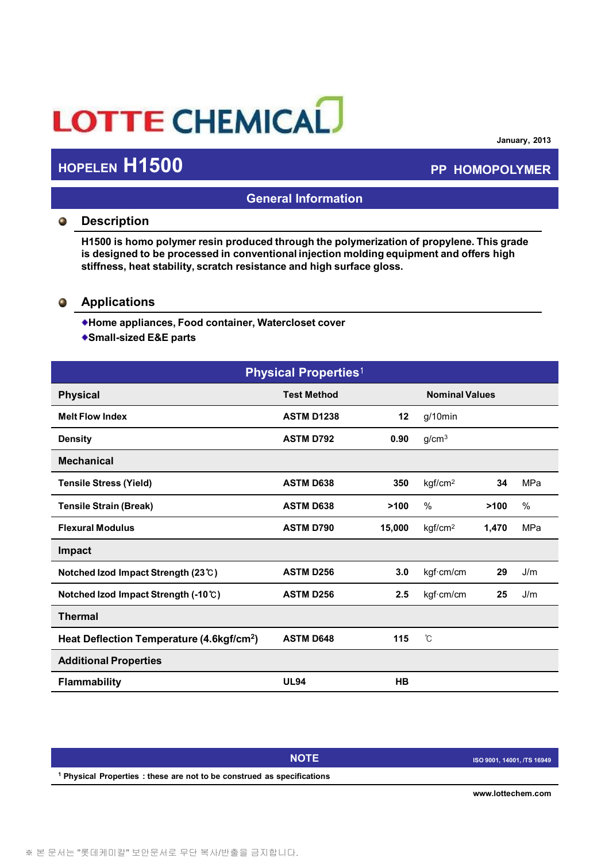# LOTTE CHEMICAL

## **HOPELEN H1500 PP HOMOPOLYMER**

**January, 2013**

## **General Information**

### **Description**  $\bullet$

**H1500 is homo polymer resin produced through the polymerization of propylene. This grade is designed to be processed in conventional injection molding equipment and offers high stiffness, heat stability, scratch resistance and high surface gloss.**

### $\bullet$ **Applications**

- **Home appliances, Food container, Watercloset cover**
- **Small-sized E&E parts**

| <b>Physical Properties1</b>                           |                    |                       |                     |       |      |
|-------------------------------------------------------|--------------------|-----------------------|---------------------|-------|------|
| <b>Physical</b>                                       | <b>Test Method</b> | <b>Nominal Values</b> |                     |       |      |
| <b>Melt Flow Index</b>                                | <b>ASTM D1238</b>  | 12                    | $g/10$ min          |       |      |
| <b>Density</b>                                        | <b>ASTM D792</b>   | 0.90                  | g/cm <sup>3</sup>   |       |      |
| <b>Mechanical</b>                                     |                    |                       |                     |       |      |
| <b>Tensile Stress (Yield)</b>                         | <b>ASTM D638</b>   | 350                   | kgf/cm <sup>2</sup> | 34    | MPa  |
| <b>Tensile Strain (Break)</b>                         | <b>ASTM D638</b>   | >100                  | $\%$                | >100  | $\%$ |
| <b>Flexural Modulus</b>                               | <b>ASTM D790</b>   | 15,000                | kgf/cm <sup>2</sup> | 1,470 | MPa  |
| Impact                                                |                    |                       |                     |       |      |
| Notched Izod Impact Strength (23℃)                    | <b>ASTM D256</b>   | 3.0                   | kgf·cm/cm           | 29    | J/m  |
| Notched Izod Impact Strength (-10℃)                   | <b>ASTM D256</b>   | 2.5                   | kgf·cm/cm           | 25    | J/m  |
| <b>Thermal</b>                                        |                    |                       |                     |       |      |
| Heat Deflection Temperature (4.6kgf/cm <sup>2</sup> ) | <b>ASTM D648</b>   | 115                   | °C                  |       |      |
| <b>Additional Properties</b>                          |                    |                       |                     |       |      |
| <b>Flammability</b>                                   | <b>UL94</b>        | HB                    |                     |       |      |

|                                                                                    | <b>NOTE</b> | ISO 9001, 14001, /TS 16949 |  |  |
|------------------------------------------------------------------------------------|-------------|----------------------------|--|--|
| <sup>1</sup> Physical Properties : these are not to be construed as specifications |             |                            |  |  |
|                                                                                    |             |                            |  |  |

**www.lottechem.com**